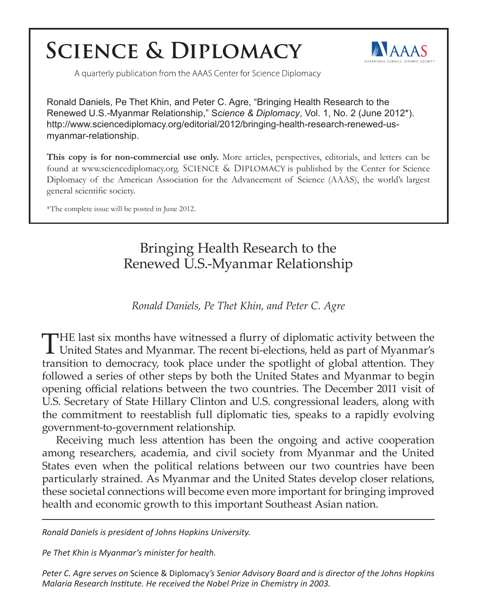## **SCIENCE & DIPLOMACY**



A quarterly publication from the AAAS Center for Science Diplomacy

Ronald Daniels, Pe Thet Khin, and Peter C. Agre, "Bringing Health Research to the Renewed U.S.-Myanmar Relationship," S*cience & Diplomacy*, Vol. 1, No. 2 (June 2012\*). http://www.sciencediplomacy.org/editorial/2012/bringing-health-research-renewed-usmyanmar-relationship.

**This copy is for non-commercial use only.** More articles, perspectives, editorials, and letters can be found at www.sciencediplomacy.org. SCIENCE & DIPLOMACY is published by the Center for Science Diplomacy of the American Association for the Advancement of Science (AAAS), the world's largest general scientific society.

\*The complete issue will be posted in June 2012.

Bringing Health Research to the Renewed U.S.-Myanmar Relationship

*Ronald Daniels, Pe Thet Khin, and Peter C. Agre*

THE last six months have witnessed a flurry of diplomatic activity between the United States and Myanmar. The recent bi-elections, held as part of Myanmar's transition to democracy, took place under the spotlight of global attention. They followed a series of other steps by both the United States and Myanmar to begin opening official relations between the two countries. The December 2011 visit of U.S. Secretary of State Hillary Clinton and U.S. congressional leaders, along with the commitment to reestablish full diplomatic ties, speaks to a rapidly evolving government-to-government relationship.

Receiving much less attention has been the ongoing and active cooperation among researchers, academia, and civil society from Myanmar and the United States even when the political relations between our two countries have been particularly strained. As Myanmar and the United States develop closer relations, these societal connections will become even more important for bringing improved health and economic growth to this important Southeast Asian nation.

*Ronald Daniels is president of Johns Hopkins University.*

*Pe Thet Khin is Myanmar's minister for health.* 

*Peter C. Agre serves on* Science & Diplomacy*'s Senior Advisory Board and is director of the Johns Hopkins Malaria Research Institute. He received the Nobel Prize in Chemistry in 2003.*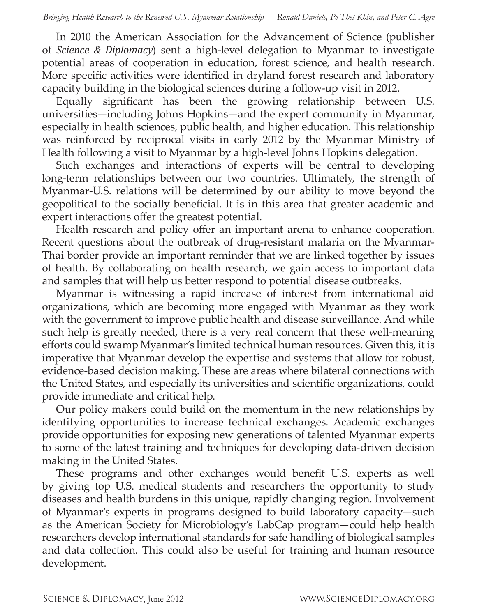In 2010 the American Association for the Advancement of Science (publisher of *Science & Diplomacy*) sent a high-level delegation to Myanmar to investigate potential areas of cooperation in education, forest science, and health research. More specific activities were identified in dryland forest research and laboratory capacity building in the biological sciences during a follow-up visit in 2012.

Equally significant has been the growing relationship between U.S. universities—including Johns Hopkins—and the expert community in Myanmar, especially in health sciences, public health, and higher education. This relationship was reinforced by reciprocal visits in early 2012 by the Myanmar Ministry of Health following a visit to Myanmar by a high-level Johns Hopkins delegation.

Such exchanges and interactions of experts will be central to developing long-term relationships between our two countries. Ultimately, the strength of Myanmar-U.S. relations will be determined by our ability to move beyond the geopolitical to the socially beneficial. It is in this area that greater academic and expert interactions offer the greatest potential.

Health research and policy offer an important arena to enhance cooperation. Recent questions about the outbreak of drug-resistant malaria on the Myanmar-Thai border provide an important reminder that we are linked together by issues of health. By collaborating on health research, we gain access to important data and samples that will help us better respond to potential disease outbreaks.

Myanmar is witnessing a rapid increase of interest from international aid organizations, which are becoming more engaged with Myanmar as they work with the government to improve public health and disease surveillance. And while such help is greatly needed, there is a very real concern that these well-meaning efforts could swamp Myanmar's limited technical human resources. Given this, it is imperative that Myanmar develop the expertise and systems that allow for robust, evidence-based decision making. These are areas where bilateral connections with the United States, and especially its universities and scientific organizations, could provide immediate and critical help.

Our policy makers could build on the momentum in the new relationships by identifying opportunities to increase technical exchanges. Academic exchanges provide opportunities for exposing new generations of talented Myanmar experts to some of the latest training and techniques for developing data-driven decision making in the United States.

These programs and other exchanges would benefit U.S. experts as well by giving top U.S. medical students and researchers the opportunity to study diseases and health burdens in this unique, rapidly changing region. Involvement of Myanmar's experts in programs designed to build laboratory capacity—such as the American Society for Microbiology's LabCap program—could help health researchers develop international standards for safe handling of biological samples and data collection. This could also be useful for training and human resource development.